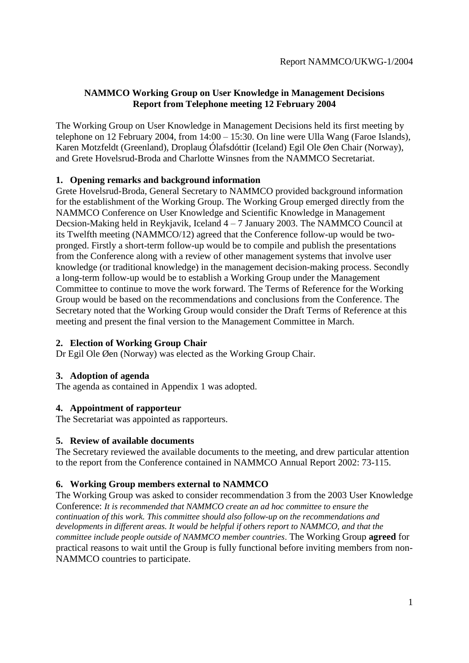# **NAMMCO Working Group on User Knowledge in Management Decisions Report from Telephone meeting 12 February 2004**

The Working Group on User Knowledge in Management Decisions held its first meeting by telephone on 12 February 2004, from 14:00 – 15:30. On line were Ulla Wang (Faroe Islands), Karen Motzfeldt (Greenland), Droplaug Ólafsdóttir (Iceland) Egil Ole Øen Chair (Norway), and Grete Hovelsrud-Broda and Charlotte Winsnes from the NAMMCO Secretariat.

### **1. Opening remarks and background information**

Grete Hovelsrud-Broda, General Secretary to NAMMCO provided background information for the establishment of the Working Group. The Working Group emerged directly from the NAMMCO Conference on User Knowledge and Scientific Knowledge in Management Decsion-Making held in Reykjavik, Iceland 4 – 7 January 2003. The NAMMCO Council at its Twelfth meeting (NAMMCO/12) agreed that the Conference follow-up would be twopronged. Firstly a short-term follow-up would be to compile and publish the presentations from the Conference along with a review of other management systems that involve user knowledge (or traditional knowledge) in the management decision-making process. Secondly a long-term follow-up would be to establish a Working Group under the Management Committee to continue to move the work forward. The Terms of Reference for the Working Group would be based on the recommendations and conclusions from the Conference. The Secretary noted that the Working Group would consider the Draft Terms of Reference at this meeting and present the final version to the Management Committee in March.

## **2. Election of Working Group Chair**

Dr Egil Ole Øen (Norway) was elected as the Working Group Chair.

### **3. Adoption of agenda**

The agenda as contained in Appendix 1 was adopted.

### **4. Appointment of rapporteur**

The Secretariat was appointed as rapporteurs.

### **5. Review of available documents**

The Secretary reviewed the available documents to the meeting, and drew particular attention to the report from the Conference contained in NAMMCO Annual Report 2002: 73-115.

### **6. Working Group members external to NAMMCO**

The Working Group was asked to consider recommendation 3 from the 2003 User Knowledge Conference: *It is recommended that NAMMCO create an ad hoc committee to ensure the continuation of this work. This committee should also follow-up on the recommendations and developments in different areas. It would be helpful if others report to NAMMCO, and that the committee include people outside of NAMMCO member countries*. The Working Group **agreed** for practical reasons to wait until the Group is fully functional before inviting members from non-NAMMCO countries to participate.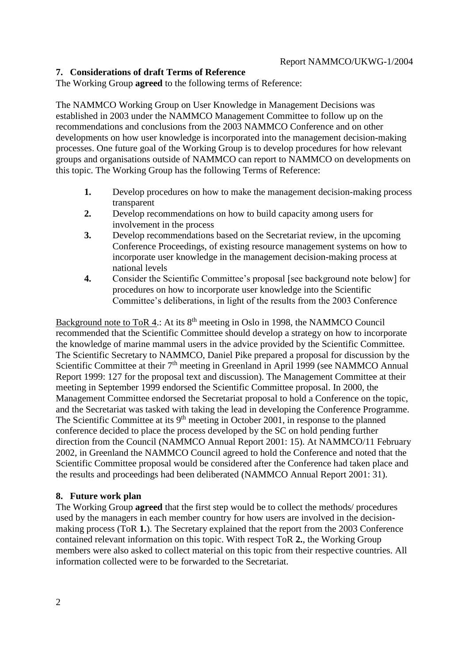### **7. Considerations of draft Terms of Reference**

The Working Group **agreed** to the following terms of Reference:

The NAMMCO Working Group on User Knowledge in Management Decisions was established in 2003 under the NAMMCO Management Committee to follow up on the recommendations and conclusions from the 2003 NAMMCO Conference and on other developments on how user knowledge is incorporated into the management decision-making processes. One future goal of the Working Group is to develop procedures for how relevant groups and organisations outside of NAMMCO can report to NAMMCO on developments on this topic. The Working Group has the following Terms of Reference:

- **1.** Develop procedures on how to make the management decision-making process transparent
- **2.** Develop recommendations on how to build capacity among users for involvement in the process
- **3.** Develop recommendations based on the Secretariat review, in the upcoming Conference Proceedings, of existing resource management systems on how to incorporate user knowledge in the management decision-making process at national levels
- **4.** Consider the Scientific Committee's proposal [see background note below] for procedures on how to incorporate user knowledge into the Scientific Committee's deliberations, in light of the results from the 2003 Conference

Background note to ToR 4.: At its 8<sup>th</sup> meeting in Oslo in 1998, the NAMMCO Council recommended that the Scientific Committee should develop a strategy on how to incorporate the knowledge of marine mammal users in the advice provided by the Scientific Committee. The Scientific Secretary to NAMMCO, Daniel Pike prepared a proposal for discussion by the Scientific Committee at their 7<sup>th</sup> meeting in Greenland in April 1999 (see NAMMCO Annual Report 1999: 127 for the proposal text and discussion). The Management Committee at their meeting in September 1999 endorsed the Scientific Committee proposal. In 2000, the Management Committee endorsed the Secretariat proposal to hold a Conference on the topic, and the Secretariat was tasked with taking the lead in developing the Conference Programme. The Scientific Committee at its  $9<sup>th</sup>$  meeting in October 2001, in response to the planned conference decided to place the process developed by the SC on hold pending further direction from the Council (NAMMCO Annual Report 2001: 15). At NAMMCO/11 February 2002, in Greenland the NAMMCO Council agreed to hold the Conference and noted that the Scientific Committee proposal would be considered after the Conference had taken place and the results and proceedings had been deliberated (NAMMCO Annual Report 2001: 31).

### **8. Future work plan**

The Working Group **agreed** that the first step would be to collect the methods/ procedures used by the managers in each member country for how users are involved in the decisionmaking process (ToR **1.**). The Secretary explained that the report from the 2003 Conference contained relevant information on this topic. With respect ToR **2.**, the Working Group members were also asked to collect material on this topic from their respective countries. All information collected were to be forwarded to the Secretariat.